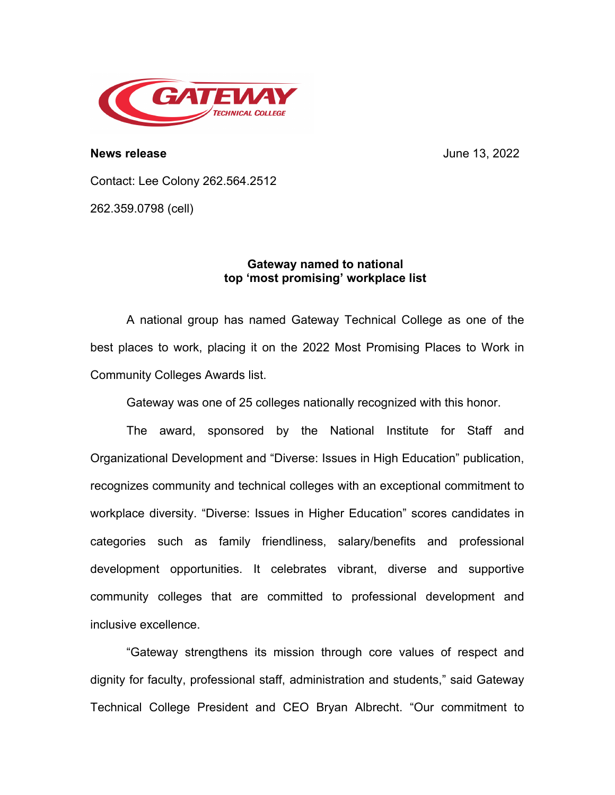

**News release** June 13, 2022

Contact: Lee Colony 262.564.2512

262.359.0798 (cell)

## **Gateway named to national top 'most promising' workplace list**

A national group has named Gateway Technical College as one of the best places to work, placing it on the 2022 Most Promising Places to Work in Community Colleges Awards list.

Gateway was one of 25 colleges nationally recognized with this honor.

The award, sponsored by the National Institute for Staff and Organizational Development and "Diverse: Issues in High Education" publication, recognizes community and technical colleges with an exceptional commitment to workplace diversity. "Diverse: Issues in Higher Education" scores candidates in categories such as family friendliness, salary/benefits and professional development opportunities. It celebrates vibrant, diverse and supportive community colleges that are committed to professional development and inclusive excellence.

"Gateway strengthens its mission through core values of respect and dignity for faculty, professional staff, administration and students," said Gateway Technical College President and CEO Bryan Albrecht. "Our commitment to